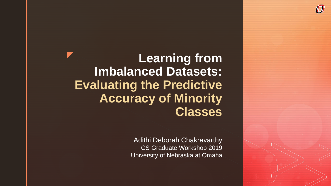**Learning from Imbalanced Datasets: Evaluating the Predictive Accuracy of Minority Classes** 

> Adithi Deborah Chakravarthy CS Graduate Workshop 2019 University of Nebraska at Omaha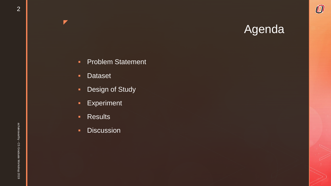$\bm{O}$ 

- **Problem Statement**
- **Dataset**

- Design of Study
- **Experiment**
- **-** Results
- **Discussion**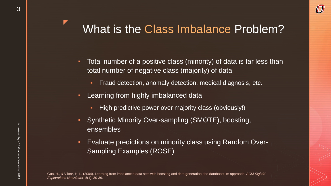# What is the Class Imbalance Problem?

- **Total number of a positive class (minority) of data is far less than** total number of negative class (majority) of data
	- **Figuang 1** Fraud detection, anomaly detection, medical diagnosis, etc.
- **Learning from highly imbalanced data** 
	- **High predictive power over majority class (obviously!)**
- **Synthetic Minority Over-sampling (SMOTE), boosting,** ensembles
- Evaluate predictions on minority class using Random Over-Sampling Examples (ROSE)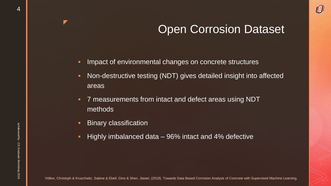### Open Corrosion Dataset

- **IMPACT OF ENVIRONMENTAL CHANGES ON CONCRET STANGERY INCOCO**
- Non-destructive testing (NDT) gives detailed insight into affected areas
- 7 measurements from intact and defect areas using NDT methods
- **Binary classification**
- **Highly imbalanced data 96% intact and 4% defective**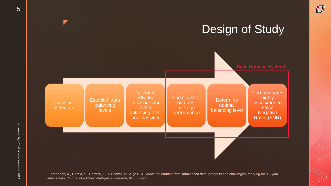

 $\bm{O}$ 

\*Fernández, A., Garcia, S., Herrera, F., & Chawla, N. V. (2018). Smote for learning from imbalanced data: progress and challenges, marking the 15-year anniversary. *Journal of artificial intelligence research*, *61*, 863-905.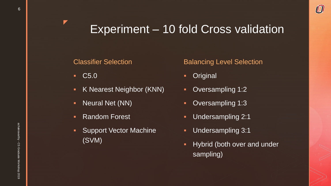## Experiment – 10 fold Cross validation

#### Classifier Selection

**C5.0** 

z

- K Nearest Neighbor (KNN)
- **Neural Net (NN)**
- **Random Forest**
- **-** Support Vector Machine (SVM)

#### Balancing Level Selection

 $\bm{U}$ 

- **-** Original
- **Oversampling 1:2**
- **Oversampling 1:3**
- Undersampling 2:1
- **Undersampling 3:1**
- **-** Hybrid (both over and under sampling)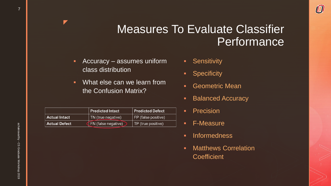### Measures To Evaluate Classifier Performance

- **Accuracy assumes uniform** class distribution
- **What else can we learn from** the Confusion Matrix?

|                      | Predicted Intact           | <b>Predicted Defect</b> |  |
|----------------------|----------------------------|-------------------------|--|
| <b>Actual Intact</b> | TN (true negative)         | FP (false positive)     |  |
| <b>Actual Defect</b> | <b>FN</b> (false negative) | TP (true positive)      |  |

- **-** Sensitivity
- **-** Specificity
- **-** Geometric Mean
- **Balanced Accuracy**

 $\bm{U}$ 

- Precision
- F-Measure
- **Informedness**
- **-** Matthews Correlation **Coefficient**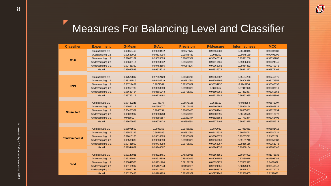#### z Measures For Balancing Level and Classifier

 $\bm{\mathcal{O}}$ 

| <b>Classifier</b>    | <b>Experiment</b>        | <b>G-Mean</b> | <b>B-Acc</b> | <b>Precision</b> | <b>F-Measure</b> | <b>Informedness</b> | <b>MCC</b> |  |  |
|----------------------|--------------------------|---------------|--------------|------------------|------------------|---------------------|------------|--|--|
| C5.0                 | Original Data 1:1        | 0.99055469    | 0.99059472   | 0.9877175        | 0.98469388       | 0.98118945          | 0.98407488 |  |  |
|                      | Oversampling 1:2         | 0.99523015    | 0.99524094   | 0.99846469       | 0.9945202        | 0.99048189          | 0.99408199 |  |  |
|                      | Oversampling 1:3         | 0.99695182    | 0.99695603   | 0.99880587       | 0.99642614       | 0.99391206          | 0.99599283 |  |  |
|                      | Undersampling 2:1        | 0.99693114    | 0.99693232   | 0.99692938       | 0.99616466       | 0.99386463          | 0.99424545 |  |  |
|                      | Undersampling 3:1        | 0.99481369    | 0.99482166   | 0.9964176        | 0.99362082       | 0.98964332          | 0.99149342 |  |  |
|                      | Hybrid                   | 0.99935593    | 0.99935614   | $\mathbf{1}$     | 0.99935572       | 0.99871227          | 0.99872169 |  |  |
|                      |                          |               |              |                  |                  |                     |            |  |  |
|                      | Original Data 1:1        | 0.97522807    | 0.97552129   | 0.98618219       | 0.96858507       | 0.95104258          | 0.96745175 |  |  |
|                      | Oversampling 1:2         | 0.98391515    | 0.98404219   | 0.9982088        | 0.98299105       | 0.96808438          | 0.98171954 |  |  |
| <b>KNN</b>           | Oversampling 1:3         | 0.98717499    | 0.9872567    | 0.99965882       | 0.98694737       | 0.9745134           | 0.98543392 |  |  |
|                      | Undersampling 2:1        | 0.98953782    | 0.98958989   | 0.99948823       | 0.9893617        | 0.97917978          | 0.98407611 |  |  |
|                      | Undersampling 3:1        | 0.98683454    | 0.98691243   | 0.99795292       | 0.98609355       | 0.97382487          | 0.98150853 |  |  |
|                      | Hybrid                   | 0.99726117    | 0.99726492   | $\mathbf{1}$     | 0.99725742       | 0.99452985          | 0.99453899 |  |  |
|                      |                          |               |              |                  |                  |                     |            |  |  |
|                      | Original Data 1:1        | 0.97432245    | 0.9746177    | 0.96571136       | 0.9581112        | 0.9492354           | 0.95642707 |  |  |
|                      | Oversampling 1:2         | 0.97962311    | 0.97980077   | 0.98106448       | 0.97100165       | 0.95960154          | 0.96867829 |  |  |
| <b>Neural Net</b>    | Oversampling 1:3         | 0.98458387    | 0.9846794    | 0.98686455       | 0.97884941       | 0.96935881          | 0.97628794 |  |  |
|                      | Undersampling 2:1        | 0.99086907    | 0.99089788   | 0.99692938       | 0.99008895       | 0.98179575          | 0.98513478 |  |  |
|                      | Undersampling 3:1        | 0.9888197     | 0.98885687   | 0.99232344       | 0.98626653       | 0.97771374          | 0.98168402 |  |  |
|                      | Hybrid                   | 0.99675925    | 0.99676438   | 0.9999598        | 0.99675403       | 0.99352875          | 0.99354513 |  |  |
|                      |                          |               |              |                  |                  |                     |            |  |  |
|                      | Original Data 1:1        | 0.98976502    | 0.9898153    | 0.99488229       | 0.9873032        | 0.97963061          | 0.98681416 |  |  |
|                      | Oversampling 1:2         | 0.99509226    | 0.9951036    | 0.9982088        | 0.99426532       | 0.99020721          | 0.99380631 |  |  |
| <b>Random Forest</b> | Oversampling 1:3         | 0.99616165    | 0.99616885   | 0.99965882       | 0.99600578       | 0.99233771          | 0.9955252  |  |  |
|                      | Undersampling 2:1        | 0.99580082    | 0.99580859   | 0.99948823       | 0.99566658       | 0.99161718          | 0.99350383 |  |  |
|                      | Undersampling 3:1        | 0.99431809    | 0.99433058   | 0.99795292       | 0.99363057       | 0.98866116          | 0.99151173 |  |  |
|                      | <b>Hybrid</b>            | 0.99944051    | 0.99944067   |                  | 0.99944036       | 0.99888134          | 0.99888145 |  |  |
|                      |                          |               |              |                  |                  |                     |            |  |  |
|                      | Original Data 1:1        | 0.93147021    | 0.93322461   | 0.76305015       | 0.81564551       | 0.86644922          | 0.81076632 |  |  |
| <b>SVM</b>           | Oversampling 1:2         | 0.93389094    | 0.93515309   | 0.79810645       | 0.84002155       | 0.87030618          | 0.82908084 |  |  |
|                      | Oversampling 1:3         | 0.93849568    | 0.93931164   | 0.82139202       | 0.85897779       | 0.87862327          | 0.8437632  |  |  |
|                      | <b>Undersampling 2:1</b> | 0.95160907    | 0.95187543   | 0.9493347        | 0.93924051       | 0.90375085          | 0.90849043 |  |  |
|                      | Undersampling 3:1        | 0.93050748    | 0.93214101   | 0.96315251       | 0.91804878       | 0.86428202          | 0.89079276 |  |  |
|                      | <b>Hybrid</b>            | 0.96256493    | 0.96269703   | 0.97929962       | 0.96274948       | 0.92539405          | 0.9249078  |  |  |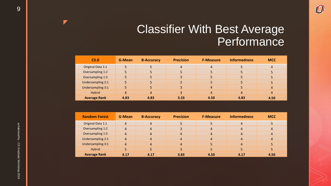### Classifier With Best Average Performance

 $\bm{\mathcal{O}}$ 

| C5.0                | G-Mean | <b>B-Accuracy</b> | <b>Precision</b> | <b>F-Measure</b> | <b>Informedness</b> | <b>MCC</b>     |
|---------------------|--------|-------------------|------------------|------------------|---------------------|----------------|
| Original Data 1:1   |        |                   | 4                | $\overline{4}$   |                     | $\overline{4}$ |
| Oversampling 1:2    |        |                   |                  |                  |                     |                |
| Oversampling 1:3    |        |                   |                  |                  |                     |                |
| Undersampling 2:1   |        |                   |                  |                  |                     |                |
| Undersampling 3:1   |        |                   |                  | 4                |                     | 4              |
| Hybrid              | 4      | Δ                 |                  | 4                |                     | $\overline{4}$ |
| <b>Average Rank</b> | 4.83   | 4.83              | 3.33             | 4.50             | 4.83                | 4.50           |

| <b>Random Forest</b>     | G-Mean         | <b>B-Accuracy</b>      | <b>Precision</b> | <b>F-Measure</b> | <b>Informedness</b> | <b>MCC</b> |
|--------------------------|----------------|------------------------|------------------|------------------|---------------------|------------|
| Original Data 1:1        | $\overline{4}$ | $\boldsymbol{4}$       |                  |                  | $\overline{4}$      |            |
| Oversampling 1:2         | 4              | 4                      | 3                | 4                | 4                   | 4          |
| Oversampling 1:3         | $\overline{4}$ | $\boldsymbol{\Lambda}$ | $\overline{4}$   | 4                | $\overline{4}$      | 4          |
| Undersampling 2:1        | 4              | 4                      | $\overline{4}$   | 4                | 4                   | 4          |
| <b>Undersampling 3:1</b> | 4              | 4                      | $\overline{4}$   |                  | 4                   |            |
| Hybrid                   |                |                        | 3                |                  |                     |            |
| <b>Average Rank</b>      | 4.17           | 4.17                   | 3.83             | 4.50             | 4.17                | 4.50       |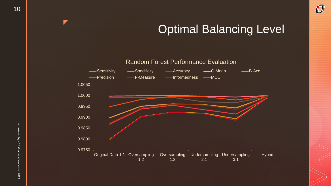## Optimal Balancing Level

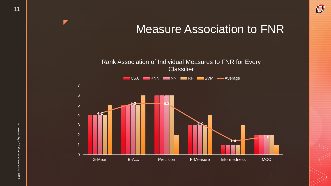$\bm{O}$ 

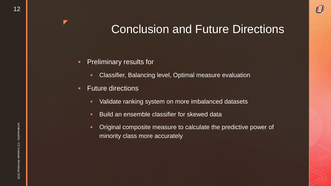## Conclusion and Future Directions

- **Preliminary results for** 
	- **Classifier, Balancing level, Optimal measure evaluation**
- **Future directions** 
	- **Validate ranking system on more imbalanced datasets**
	- **Build an ensemble classifier for skewed data**
	- Original composite measure to calculate the predictive power of minority class more accurately